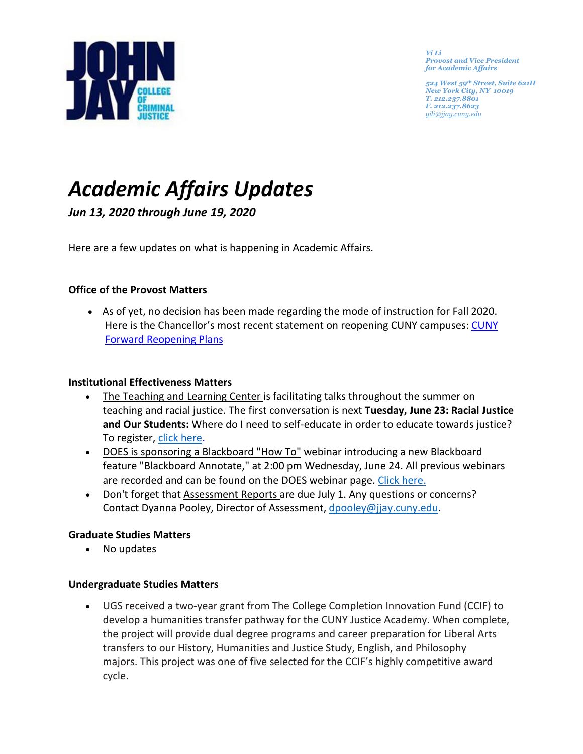

*Yi Li Provost and Vice President for Academic Affairs* 

*524 West 59th Street, Suite 621H New York City, NY 10019 T. 212.237.8801 F. 212.237.8623 [yili@jjay.cuny.edu](mailto:jbowers@jjay.cuny.edu)*

# *Academic Affairs Updates*

*Jun 13, 2020 through June 19, 2020*

Here are a few updates on what is happening in Academic Affairs.

## **Office of the Provost Matters**

• As of yet, no decision has been made regarding the mode of instruction for Fall 2020. Here is the Chancellor's most recent statement on reopening CUNY campuses: [CUNY](https://www.cuny.edu/academics/faculty-affairs/faculty-related-academic-continuity-guidance/#1592326276131-7d014a02-f850)  [Forward Reopening Plans](https://www.cuny.edu/academics/faculty-affairs/faculty-related-academic-continuity-guidance/#1592326276131-7d014a02-f850) 

## **Institutional Effectiveness Matters**

- The Teaching and Learning Center is facilitating talks throughout the summer on teaching and racial justice. The first conversation is next **Tuesday, June 23: Racial Justice and Our Students:** Where do I need to self-educate in order to educate towards justice? To register, click [here.](https://us02web.zoom.us/meeting/register/tZ0pceirrjMoHNIONpE1OLjoKoXkskmGxHMwhttps:/us02web.zoom.us/meeting/register/tZ0pceirrjMoHNIONpE1OLjoKoXkskmGxHMw)
- DOES is sponsoring a Blackboard "How To" webinar introducing a new Blackboard feature "Blackboard Annotate," at 2:00 pm Wednesday, June 24. All previous webinars are recorded and can be found on the DOES webinar page. Click [here.](https://www.jjay.cuny.edu/online-education-support-webinars)
- Don't forget that Assessment Reports are due July 1. Any questions or concerns? Contact Dyanna Pooley, Director of Assessment, [dpooley@jjay.cuny.edu.](mailto:dpooley@jjay.cuny.edu)

## **Graduate Studies Matters**

• No updates

## **Undergraduate Studies Matters**

• UGS received a two-year grant from The College Completion Innovation Fund (CCIF) to develop a humanities transfer pathway for the CUNY Justice Academy. When complete, the project will provide dual degree programs and career preparation for Liberal Arts transfers to our History, Humanities and Justice Study, English, and Philosophy majors. This project was one of five selected for the CCIF's highly competitive award cycle.